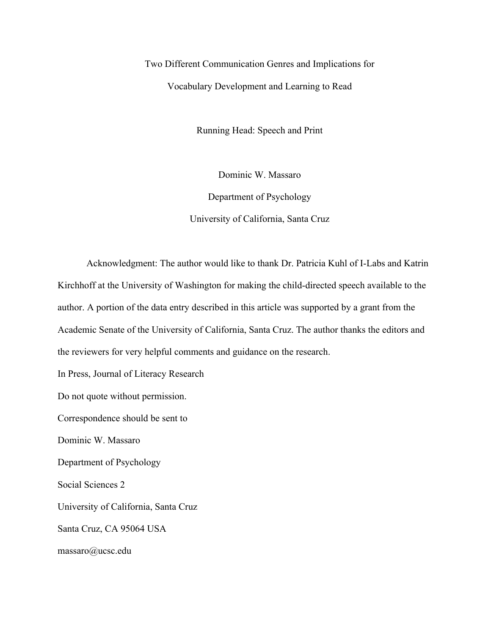Two Different Communication Genres and Implications for Vocabulary Development and Learning to Read

Running Head: Speech and Print

Dominic W. Massaro

Department of Psychology University of California, Santa Cruz

Acknowledgment: The author would like to thank Dr. Patricia Kuhl of I-Labs and Katrin Kirchhoff at the University of Washington for making the child-directed speech available to the author. A portion of the data entry described in this article was supported by a grant from the Academic Senate of the University of California, Santa Cruz. The author thanks the editors and the reviewers for very helpful comments and guidance on the research.

In Press, Journal of Literacy Research

Do not quote without permission.

Correspondence should be sent to

Dominic W. Massaro

Department of Psychology

Social Sciences 2

University of California, Santa Cruz

Santa Cruz, CA 95064 USA

massaro@ucsc.edu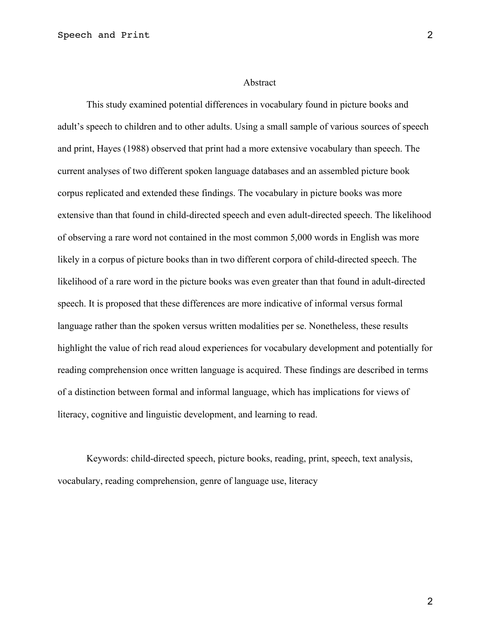#### Abstract

This study examined potential differences in vocabulary found in picture books and adult's speech to children and to other adults. Using a small sample of various sources of speech and print, Hayes (1988) observed that print had a more extensive vocabulary than speech. The current analyses of two different spoken language databases and an assembled picture book corpus replicated and extended these findings. The vocabulary in picture books was more extensive than that found in child-directed speech and even adult-directed speech. The likelihood of observing a rare word not contained in the most common 5,000 words in English was more likely in a corpus of picture books than in two different corpora of child-directed speech. The likelihood of a rare word in the picture books was even greater than that found in adult-directed speech. It is proposed that these differences are more indicative of informal versus formal language rather than the spoken versus written modalities per se. Nonetheless, these results highlight the value of rich read aloud experiences for vocabulary development and potentially for reading comprehension once written language is acquired. These findings are described in terms of a distinction between formal and informal language, which has implications for views of literacy, cognitive and linguistic development, and learning to read.

Keywords: child-directed speech, picture books, reading, print, speech, text analysis, vocabulary, reading comprehension, genre of language use, literacy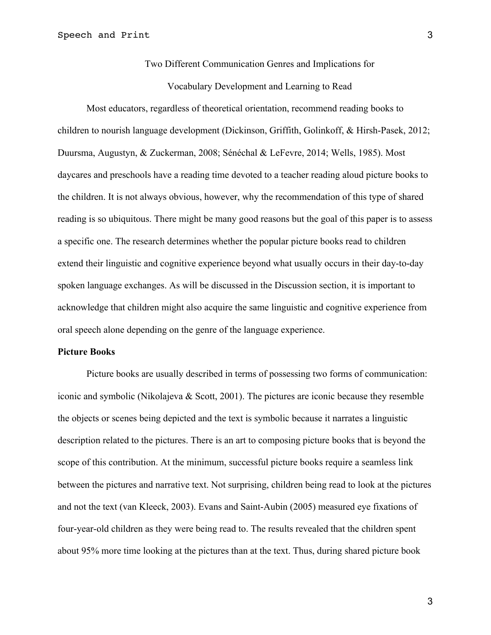Two Different Communication Genres and Implications for

Vocabulary Development and Learning to Read

Most educators, regardless of theoretical orientation, recommend reading books to children to nourish language development (Dickinson, Griffith, Golinkoff, & Hirsh-Pasek, 2012; Duursma, Augustyn, & Zuckerman, 2008; Sénéchal & LeFevre, 2014; Wells, 1985). Most daycares and preschools have a reading time devoted to a teacher reading aloud picture books to the children. It is not always obvious, however, why the recommendation of this type of shared reading is so ubiquitous. There might be many good reasons but the goal of this paper is to assess a specific one. The research determines whether the popular picture books read to children extend their linguistic and cognitive experience beyond what usually occurs in their day-to-day spoken language exchanges. As will be discussed in the Discussion section, it is important to acknowledge that children might also acquire the same linguistic and cognitive experience from oral speech alone depending on the genre of the language experience.

#### **Picture Books**

Picture books are usually described in terms of possessing two forms of communication: iconic and symbolic (Nikolajeva & Scott, 2001). The pictures are iconic because they resemble the objects or scenes being depicted and the text is symbolic because it narrates a linguistic description related to the pictures. There is an art to composing picture books that is beyond the scope of this contribution. At the minimum, successful picture books require a seamless link between the pictures and narrative text. Not surprising, children being read to look at the pictures and not the text (van Kleeck, 2003). Evans and Saint-Aubin (2005) measured eye fixations of four-year-old children as they were being read to. The results revealed that the children spent about 95% more time looking at the pictures than at the text. Thus, during shared picture book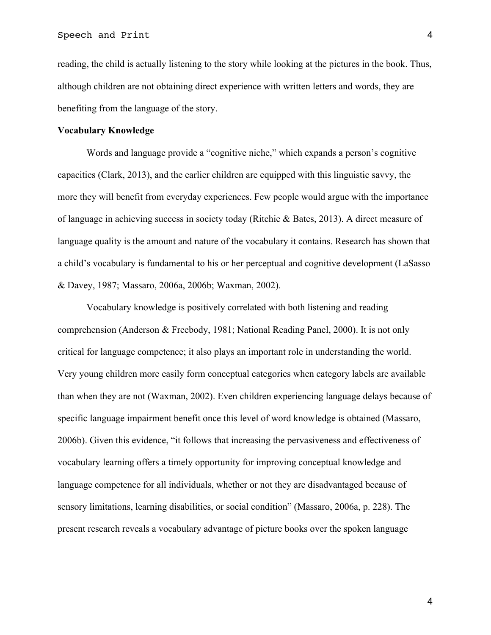reading, the child is actually listening to the story while looking at the pictures in the book. Thus, although children are not obtaining direct experience with written letters and words, they are benefiting from the language of the story.

#### **Vocabulary Knowledge**

Words and language provide a "cognitive niche," which expands a person's cognitive capacities (Clark, 2013), and the earlier children are equipped with this linguistic savvy, the more they will benefit from everyday experiences. Few people would argue with the importance of language in achieving success in society today (Ritchie & Bates, 2013). A direct measure of language quality is the amount and nature of the vocabulary it contains. Research has shown that a child's vocabulary is fundamental to his or her perceptual and cognitive development (LaSasso & Davey, 1987; Massaro, 2006a, 2006b; Waxman, 2002).

Vocabulary knowledge is positively correlated with both listening and reading comprehension (Anderson & Freebody, 1981; National Reading Panel, 2000). It is not only critical for language competence; it also plays an important role in understanding the world. Very young children more easily form conceptual categories when category labels are available than when they are not (Waxman, 2002). Even children experiencing language delays because of specific language impairment benefit once this level of word knowledge is obtained (Massaro, 2006b). Given this evidence, "it follows that increasing the pervasiveness and effectiveness of vocabulary learning offers a timely opportunity for improving conceptual knowledge and language competence for all individuals, whether or not they are disadvantaged because of sensory limitations, learning disabilities, or social condition" (Massaro, 2006a, p. 228). The present research reveals a vocabulary advantage of picture books over the spoken language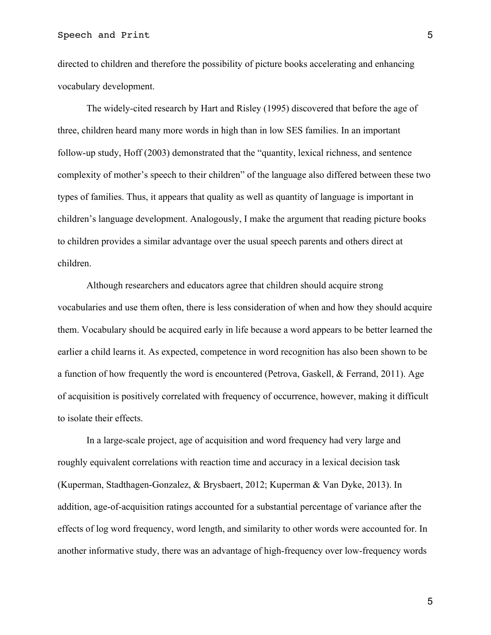directed to children and therefore the possibility of picture books accelerating and enhancing vocabulary development.

The widely-cited research by Hart and Risley (1995) discovered that before the age of three, children heard many more words in high than in low SES families. In an important follow-up study, Hoff (2003) demonstrated that the "quantity, lexical richness, and sentence complexity of mother's speech to their children" of the language also differed between these two types of families. Thus, it appears that quality as well as quantity of language is important in children's language development. Analogously, I make the argument that reading picture books to children provides a similar advantage over the usual speech parents and others direct at children.

Although researchers and educators agree that children should acquire strong vocabularies and use them often, there is less consideration of when and how they should acquire them. Vocabulary should be acquired early in life because a word appears to be better learned the earlier a child learns it. As expected, competence in word recognition has also been shown to be a function of how frequently the word is encountered (Petrova, Gaskell, & Ferrand, 2011). Age of acquisition is positively correlated with frequency of occurrence, however, making it difficult to isolate their effects.

In a large-scale project, age of acquisition and word frequency had very large and roughly equivalent correlations with reaction time and accuracy in a lexical decision task (Kuperman, Stadthagen-Gonzalez, & Brysbaert, 2012; Kuperman & Van Dyke, 2013). In addition, age-of-acquisition ratings accounted for a substantial percentage of variance after the effects of log word frequency, word length, and similarity to other words were accounted for. In another informative study, there was an advantage of high-frequency over low-frequency words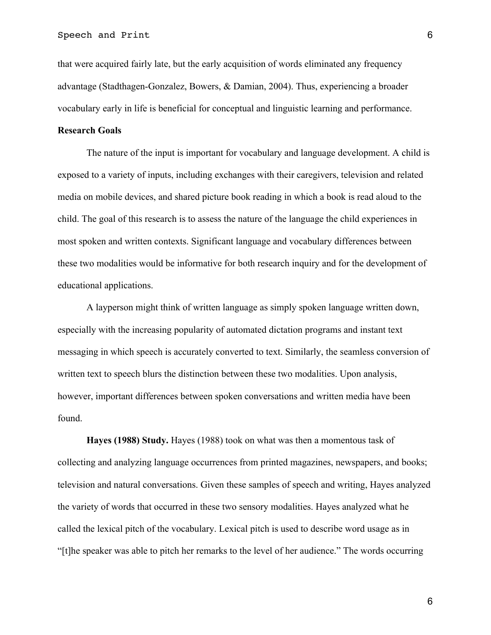that were acquired fairly late, but the early acquisition of words eliminated any frequency advantage (Stadthagen-Gonzalez, Bowers, & Damian, 2004). Thus, experiencing a broader vocabulary early in life is beneficial for conceptual and linguistic learning and performance.

## **Research Goals**

The nature of the input is important for vocabulary and language development. A child is exposed to a variety of inputs, including exchanges with their caregivers, television and related media on mobile devices, and shared picture book reading in which a book is read aloud to the child. The goal of this research is to assess the nature of the language the child experiences in most spoken and written contexts. Significant language and vocabulary differences between these two modalities would be informative for both research inquiry and for the development of educational applications.

A layperson might think of written language as simply spoken language written down, especially with the increasing popularity of automated dictation programs and instant text messaging in which speech is accurately converted to text. Similarly, the seamless conversion of written text to speech blurs the distinction between these two modalities. Upon analysis, however, important differences between spoken conversations and written media have been found.

**Hayes (1988) Study.** Hayes (1988) took on what was then a momentous task of collecting and analyzing language occurrences from printed magazines, newspapers, and books; television and natural conversations. Given these samples of speech and writing, Hayes analyzed the variety of words that occurred in these two sensory modalities. Hayes analyzed what he called the lexical pitch of the vocabulary. Lexical pitch is used to describe word usage as in "[t]he speaker was able to pitch her remarks to the level of her audience." The words occurring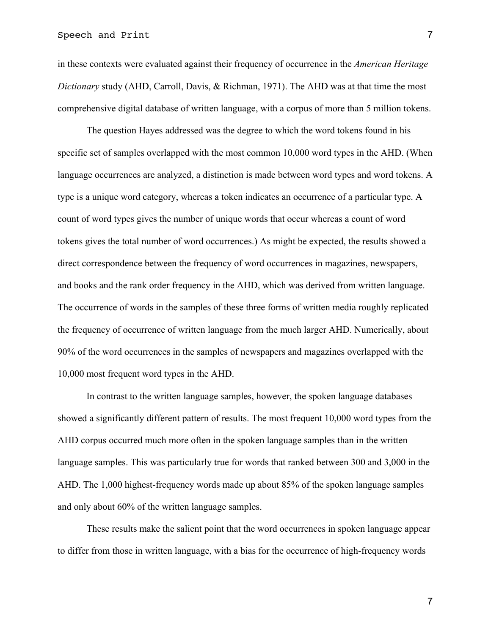in these contexts were evaluated against their frequency of occurrence in the *American Heritage Dictionary* study (AHD, Carroll, Davis, & Richman, 1971). The AHD was at that time the most comprehensive digital database of written language, with a corpus of more than 5 million tokens.

The question Hayes addressed was the degree to which the word tokens found in his specific set of samples overlapped with the most common 10,000 word types in the AHD. (When language occurrences are analyzed, a distinction is made between word types and word tokens. A type is a unique word category, whereas a token indicates an occurrence of a particular type. A count of word types gives the number of unique words that occur whereas a count of word tokens gives the total number of word occurrences.) As might be expected, the results showed a direct correspondence between the frequency of word occurrences in magazines, newspapers, and books and the rank order frequency in the AHD, which was derived from written language. The occurrence of words in the samples of these three forms of written media roughly replicated the frequency of occurrence of written language from the much larger AHD. Numerically, about 90% of the word occurrences in the samples of newspapers and magazines overlapped with the 10,000 most frequent word types in the AHD.

In contrast to the written language samples, however, the spoken language databases showed a significantly different pattern of results. The most frequent 10,000 word types from the AHD corpus occurred much more often in the spoken language samples than in the written language samples. This was particularly true for words that ranked between 300 and 3,000 in the AHD. The 1,000 highest-frequency words made up about 85% of the spoken language samples and only about 60% of the written language samples.

These results make the salient point that the word occurrences in spoken language appear to differ from those in written language, with a bias for the occurrence of high-frequency words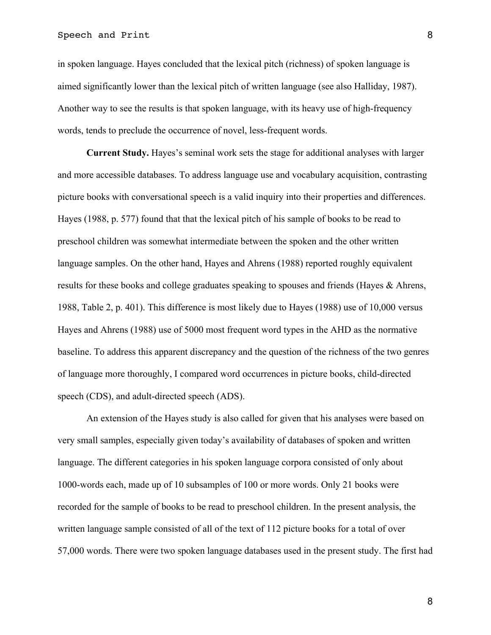## Speech and Print 8

in spoken language. Hayes concluded that the lexical pitch (richness) of spoken language is aimed significantly lower than the lexical pitch of written language (see also Halliday, 1987). Another way to see the results is that spoken language, with its heavy use of high-frequency words, tends to preclude the occurrence of novel, less-frequent words.

**Current Study.** Hayes's seminal work sets the stage for additional analyses with larger and more accessible databases. To address language use and vocabulary acquisition, contrasting picture books with conversational speech is a valid inquiry into their properties and differences. Hayes (1988, p. 577) found that that the lexical pitch of his sample of books to be read to preschool children was somewhat intermediate between the spoken and the other written language samples. On the other hand, Hayes and Ahrens (1988) reported roughly equivalent results for these books and college graduates speaking to spouses and friends (Hayes & Ahrens, 1988, Table 2, p. 401). This difference is most likely due to Hayes (1988) use of 10,000 versus Hayes and Ahrens (1988) use of 5000 most frequent word types in the AHD as the normative baseline. To address this apparent discrepancy and the question of the richness of the two genres of language more thoroughly, I compared word occurrences in picture books, child-directed speech (CDS), and adult-directed speech (ADS).

An extension of the Hayes study is also called for given that his analyses were based on very small samples, especially given today's availability of databases of spoken and written language. The different categories in his spoken language corpora consisted of only about 1000-words each, made up of 10 subsamples of 100 or more words. Only 21 books were recorded for the sample of books to be read to preschool children. In the present analysis, the written language sample consisted of all of the text of 112 picture books for a total of over 57,000 words. There were two spoken language databases used in the present study. The first had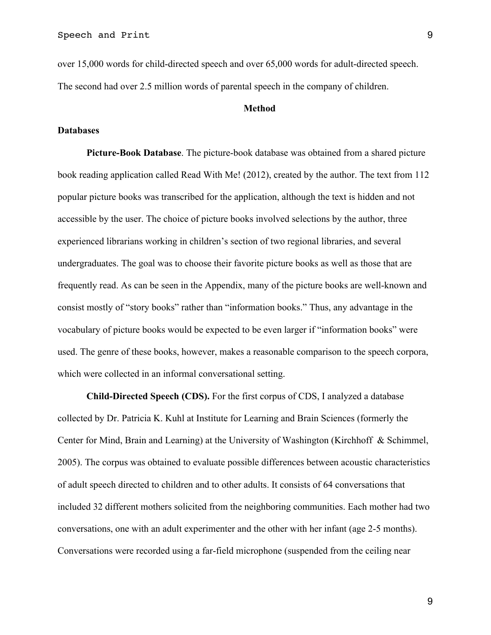over 15,000 words for child-directed speech and over 65,000 words for adult-directed speech. The second had over 2.5 million words of parental speech in the company of children.

## **Method**

## **Databases**

**Picture-Book Database**. The picture-book database was obtained from a shared picture book reading application called Read With Me! (2012), created by the author. The text from 112 popular picture books was transcribed for the application, although the text is hidden and not accessible by the user. The choice of picture books involved selections by the author, three experienced librarians working in children's section of two regional libraries, and several undergraduates. The goal was to choose their favorite picture books as well as those that are frequently read. As can be seen in the Appendix, many of the picture books are well-known and consist mostly of "story books" rather than "information books." Thus, any advantage in the vocabulary of picture books would be expected to be even larger if "information books" were used. The genre of these books, however, makes a reasonable comparison to the speech corpora, which were collected in an informal conversational setting.

**Child-Directed Speech (CDS).** For the first corpus of CDS, I analyzed a database collected by Dr. Patricia K. Kuhl at Institute for Learning and Brain Sciences (formerly the Center for Mind, Brain and Learning) at the University of Washington (Kirchhoff & Schimmel, 2005). The corpus was obtained to evaluate possible differences between acoustic characteristics of adult speech directed to children and to other adults. It consists of 64 conversations that included 32 different mothers solicited from the neighboring communities. Each mother had two conversations, one with an adult experimenter and the other with her infant (age 2-5 months). Conversations were recorded using a far-field microphone (suspended from the ceiling near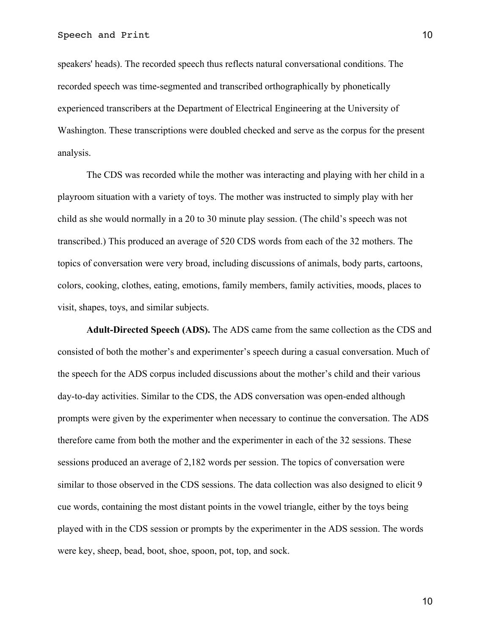speakers' heads). The recorded speech thus reflects natural conversational conditions. The recorded speech was time-segmented and transcribed orthographically by phonetically experienced transcribers at the Department of Electrical Engineering at the University of Washington. These transcriptions were doubled checked and serve as the corpus for the present analysis.

The CDS was recorded while the mother was interacting and playing with her child in a playroom situation with a variety of toys. The mother was instructed to simply play with her child as she would normally in a 20 to 30 minute play session. (The child's speech was not transcribed.) This produced an average of 520 CDS words from each of the 32 mothers. The topics of conversation were very broad, including discussions of animals, body parts, cartoons, colors, cooking, clothes, eating, emotions, family members, family activities, moods, places to visit, shapes, toys, and similar subjects.

**Adult-Directed Speech (ADS).** The ADS came from the same collection as the CDS and consisted of both the mother's and experimenter's speech during a casual conversation. Much of the speech for the ADS corpus included discussions about the mother's child and their various day-to-day activities. Similar to the CDS, the ADS conversation was open-ended although prompts were given by the experimenter when necessary to continue the conversation. The ADS therefore came from both the mother and the experimenter in each of the 32 sessions. These sessions produced an average of 2,182 words per session. The topics of conversation were similar to those observed in the CDS sessions. The data collection was also designed to elicit 9 cue words, containing the most distant points in the vowel triangle, either by the toys being played with in the CDS session or prompts by the experimenter in the ADS session. The words were key, sheep, bead, boot, shoe, spoon, pot, top, and sock.

10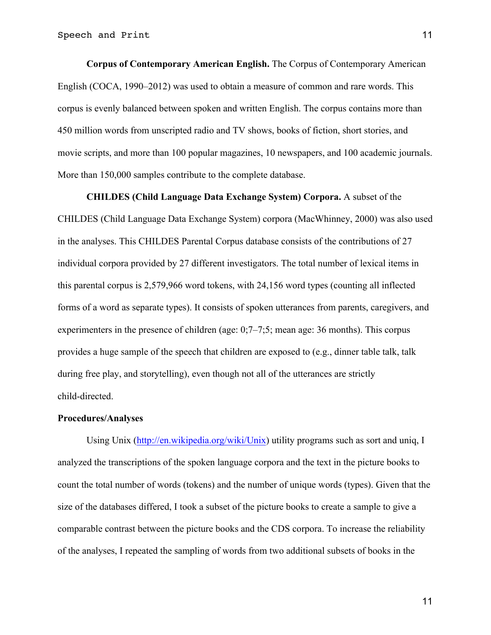**Corpus of Contemporary American English.** The Corpus of Contemporary American English (COCA, 1990–2012) was used to obtain a measure of common and rare words. This corpus is evenly balanced between spoken and written English. The corpus contains more than 450 million words from unscripted radio and TV shows, books of fiction, short stories, and movie scripts, and more than 100 popular magazines, 10 newspapers, and 100 academic journals. More than 150,000 samples contribute to the complete database.

**CHILDES (Child Language Data Exchange System) Corpora.** A subset of the CHILDES (Child Language Data Exchange System) corpora (MacWhinney, 2000) was also used in the analyses. This CHILDES Parental Corpus database consists of the contributions of 27 individual corpora provided by 27 different investigators. The total number of lexical items in this parental corpus is 2,579,966 word tokens, with 24,156 word types (counting all inflected forms of a word as separate types). It consists of spoken utterances from parents, caregivers, and experimenters in the presence of children (age: 0;7–7;5; mean age: 36 months). This corpus provides a huge sample of the speech that children are exposed to (e.g., dinner table talk, talk during free play, and storytelling), even though not all of the utterances are strictly child-directed.

## **Procedures/Analyses**

Using Unix (http://en.wikipedia.org/wiki/Unix) utility programs such as sort and uniq, I analyzed the transcriptions of the spoken language corpora and the text in the picture books to count the total number of words (tokens) and the number of unique words (types). Given that the size of the databases differed, I took a subset of the picture books to create a sample to give a comparable contrast between the picture books and the CDS corpora. To increase the reliability of the analyses, I repeated the sampling of words from two additional subsets of books in the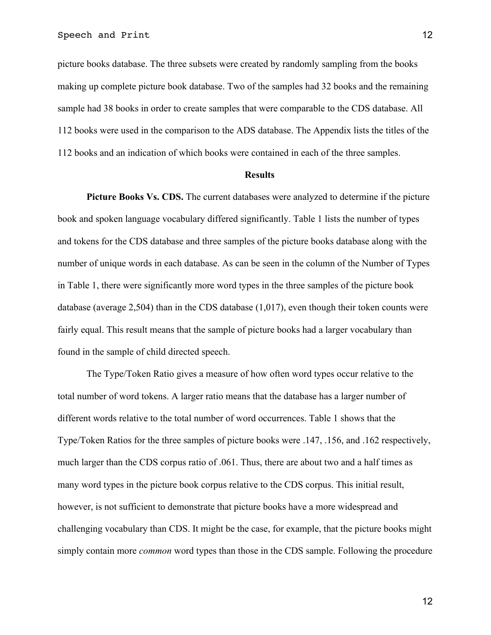picture books database. The three subsets were created by randomly sampling from the books making up complete picture book database. Two of the samples had 32 books and the remaining sample had 38 books in order to create samples that were comparable to the CDS database. All 112 books were used in the comparison to the ADS database. The Appendix lists the titles of the 112 books and an indication of which books were contained in each of the three samples.

#### **Results**

**Picture Books Vs. CDS.** The current databases were analyzed to determine if the picture book and spoken language vocabulary differed significantly. Table 1 lists the number of types and tokens for the CDS database and three samples of the picture books database along with the number of unique words in each database. As can be seen in the column of the Number of Types in Table 1, there were significantly more word types in the three samples of the picture book database (average 2,504) than in the CDS database (1,017), even though their token counts were fairly equal. This result means that the sample of picture books had a larger vocabulary than found in the sample of child directed speech.

The Type/Token Ratio gives a measure of how often word types occur relative to the total number of word tokens. A larger ratio means that the database has a larger number of different words relative to the total number of word occurrences. Table 1 shows that the Type/Token Ratios for the three samples of picture books were .147, .156, and .162 respectively, much larger than the CDS corpus ratio of .061. Thus, there are about two and a half times as many word types in the picture book corpus relative to the CDS corpus. This initial result, however, is not sufficient to demonstrate that picture books have a more widespread and challenging vocabulary than CDS. It might be the case, for example, that the picture books might simply contain more *common* word types than those in the CDS sample. Following the procedure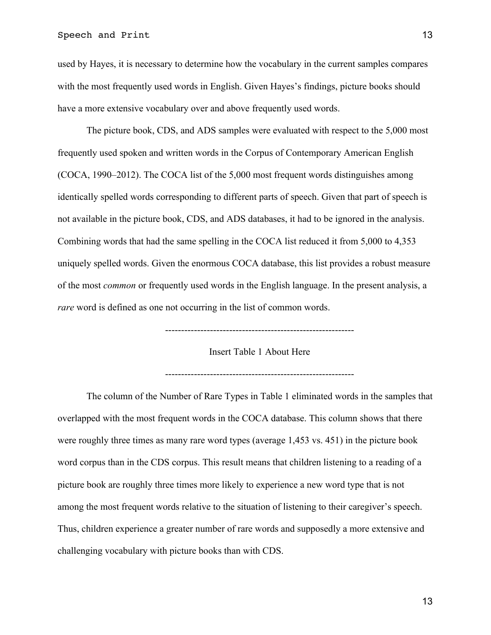used by Hayes, it is necessary to determine how the vocabulary in the current samples compares with the most frequently used words in English. Given Hayes's findings, picture books should have a more extensive vocabulary over and above frequently used words.

The picture book, CDS, and ADS samples were evaluated with respect to the 5,000 most frequently used spoken and written words in the Corpus of Contemporary American English (COCA, 1990–2012). The COCA list of the 5,000 most frequent words distinguishes among identically spelled words corresponding to different parts of speech. Given that part of speech is not available in the picture book, CDS, and ADS databases, it had to be ignored in the analysis. Combining words that had the same spelling in the COCA list reduced it from 5,000 to 4,353 uniquely spelled words. Given the enormous COCA database, this list provides a robust measure of the most *common* or frequently used words in the English language. In the present analysis, a *rare* word is defined as one not occurring in the list of common words.

-----------------------------------------------------------

Insert Table 1 About Here

-----------------------------------------------------------

The column of the Number of Rare Types in Table 1 eliminated words in the samples that overlapped with the most frequent words in the COCA database. This column shows that there were roughly three times as many rare word types (average 1,453 vs. 451) in the picture book word corpus than in the CDS corpus. This result means that children listening to a reading of a picture book are roughly three times more likely to experience a new word type that is not among the most frequent words relative to the situation of listening to their caregiver's speech. Thus, children experience a greater number of rare words and supposedly a more extensive and challenging vocabulary with picture books than with CDS.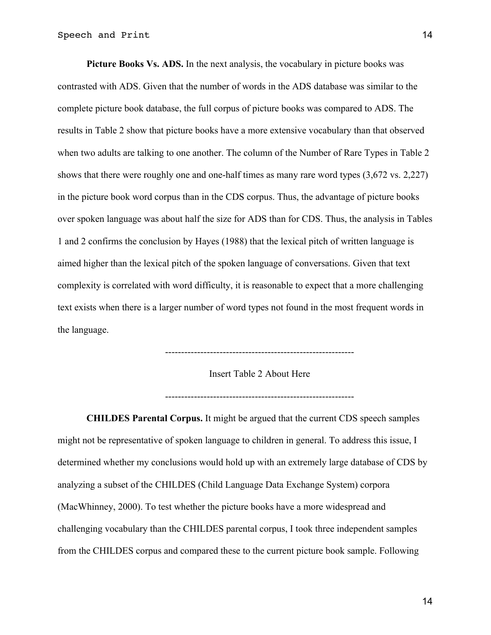**Picture Books Vs. ADS.** In the next analysis, the vocabulary in picture books was contrasted with ADS. Given that the number of words in the ADS database was similar to the complete picture book database, the full corpus of picture books was compared to ADS. The results in Table 2 show that picture books have a more extensive vocabulary than that observed when two adults are talking to one another. The column of the Number of Rare Types in Table 2 shows that there were roughly one and one-half times as many rare word types (3,672 vs. 2,227) in the picture book word corpus than in the CDS corpus. Thus, the advantage of picture books over spoken language was about half the size for ADS than for CDS. Thus, the analysis in Tables 1 and 2 confirms the conclusion by Hayes (1988) that the lexical pitch of written language is aimed higher than the lexical pitch of the spoken language of conversations. Given that text complexity is correlated with word difficulty, it is reasonable to expect that a more challenging text exists when there is a larger number of word types not found in the most frequent words in the language.

-----------------------------------------------------------

Insert Table 2 About Here

-----------------------------------------------------------

**CHILDES Parental Corpus.** It might be argued that the current CDS speech samples might not be representative of spoken language to children in general. To address this issue, I determined whether my conclusions would hold up with an extremely large database of CDS by analyzing a subset of the CHILDES (Child Language Data Exchange System) corpora (MacWhinney, 2000). To test whether the picture books have a more widespread and challenging vocabulary than the CHILDES parental corpus, I took three independent samples from the CHILDES corpus and compared these to the current picture book sample. Following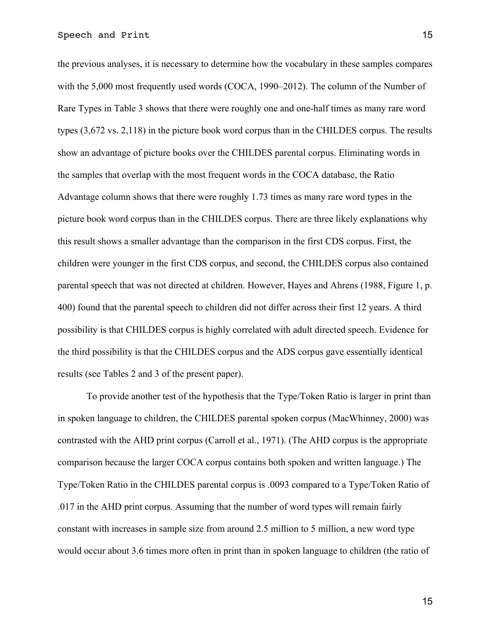the previous analyses, it is necessary to determine how the vocabulary in these samples compares with the 5,000 most frequently used words (COCA, 1990–2012). The column of the Number of Rare Types in Table 3 shows that there were roughly one and one-half times as many rare word types (3,672 vs. 2,118) in the picture book word corpus than in the CHILDES corpus. The results show an advantage of picture books over the CHILDES parental corpus. Eliminating words in the samples that overlap with the most frequent words in the COCA database, the Ratio Advantage column shows that there were roughly 1.73 times as many rare word types in the picture book word corpus than in the CHILDES corpus. There are three likely explanations why this result shows a smaller advantage than the comparison in the first CDS corpus. First, the children were younger in the first CDS corpus, and second, the CHILDES corpus also contained parental speech that was not directed at children. However, Hayes and Ahrens (1988, Figure 1, p. 400) found that the parental speech to children did not differ across their first 12 years. A third possibility is that CHILDES corpus is highly correlated with adult directed speech. Evidence for the third possibility is that the CHILDES corpus and the ADS corpus gave essentially identical results (see Tables 2 and 3 of the present paper).

To provide another test of the hypothesis that the Type/Token Ratio is larger in print than in spoken language to children, the CHILDES parental spoken corpus (MacWhinney, 2000) was contrasted with the AHD print corpus (Carroll et al., 1971). (The AHD corpus is the appropriate comparison because the larger COCA corpus contains both spoken and written language.) The Type/Token Ratio in the CHILDES parental corpus is .0093 compared to a Type/Token Ratio of .017 in the AHD print corpus. Assuming that the number of word types will remain fairly constant with increases in sample size from around 2.5 million to 5 million, a new word type would occur about 3.6 times more often in print than in spoken language to children (the ratio of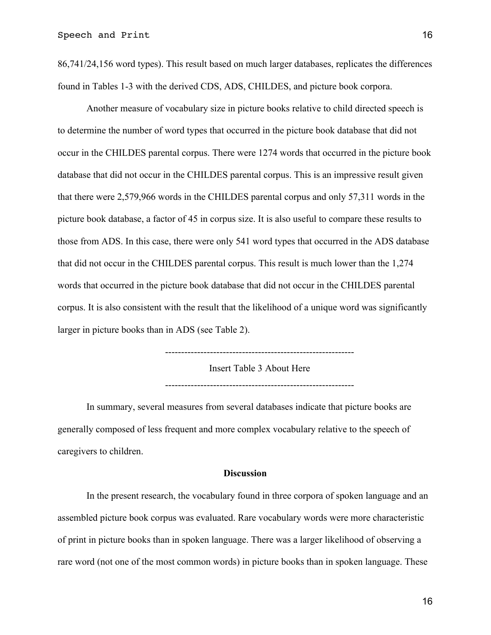86,741/24,156 word types). This result based on much larger databases, replicates the differences found in Tables 1-3 with the derived CDS, ADS, CHILDES, and picture book corpora.

Another measure of vocabulary size in picture books relative to child directed speech is to determine the number of word types that occurred in the picture book database that did not occur in the CHILDES parental corpus. There were 1274 words that occurred in the picture book database that did not occur in the CHILDES parental corpus. This is an impressive result given that there were 2,579,966 words in the CHILDES parental corpus and only 57,311 words in the picture book database, a factor of 45 in corpus size. It is also useful to compare these results to those from ADS. In this case, there were only 541 word types that occurred in the ADS database that did not occur in the CHILDES parental corpus. This result is much lower than the 1,274 words that occurred in the picture book database that did not occur in the CHILDES parental corpus. It is also consistent with the result that the likelihood of a unique word was significantly larger in picture books than in ADS (see Table 2).

-----------------------------------------------------------

Insert Table 3 About Here

-----------------------------------------------------------

In summary, several measures from several databases indicate that picture books are generally composed of less frequent and more complex vocabulary relative to the speech of caregivers to children.

#### **Discussion**

In the present research, the vocabulary found in three corpora of spoken language and an assembled picture book corpus was evaluated. Rare vocabulary words were more characteristic of print in picture books than in spoken language. There was a larger likelihood of observing a rare word (not one of the most common words) in picture books than in spoken language. These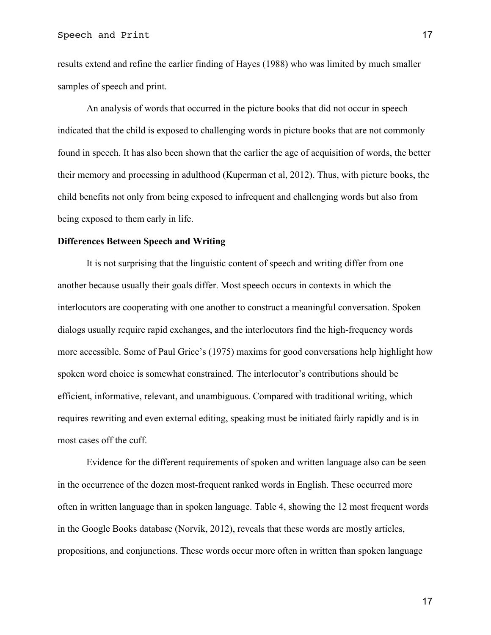results extend and refine the earlier finding of Hayes (1988) who was limited by much smaller samples of speech and print.

An analysis of words that occurred in the picture books that did not occur in speech indicated that the child is exposed to challenging words in picture books that are not commonly found in speech. It has also been shown that the earlier the age of acquisition of words, the better their memory and processing in adulthood (Kuperman et al, 2012). Thus, with picture books, the child benefits not only from being exposed to infrequent and challenging words but also from being exposed to them early in life.

#### **Differences Between Speech and Writing**

It is not surprising that the linguistic content of speech and writing differ from one another because usually their goals differ. Most speech occurs in contexts in which the interlocutors are cooperating with one another to construct a meaningful conversation. Spoken dialogs usually require rapid exchanges, and the interlocutors find the high-frequency words more accessible. Some of Paul Grice's (1975) maxims for good conversations help highlight how spoken word choice is somewhat constrained. The interlocutor's contributions should be efficient, informative, relevant, and unambiguous. Compared with traditional writing, which requires rewriting and even external editing, speaking must be initiated fairly rapidly and is in most cases off the cuff.

Evidence for the different requirements of spoken and written language also can be seen in the occurrence of the dozen most-frequent ranked words in English. These occurred more often in written language than in spoken language. Table 4, showing the 12 most frequent words in the Google Books database (Norvik, 2012), reveals that these words are mostly articles, propositions, and conjunctions. These words occur more often in written than spoken language

17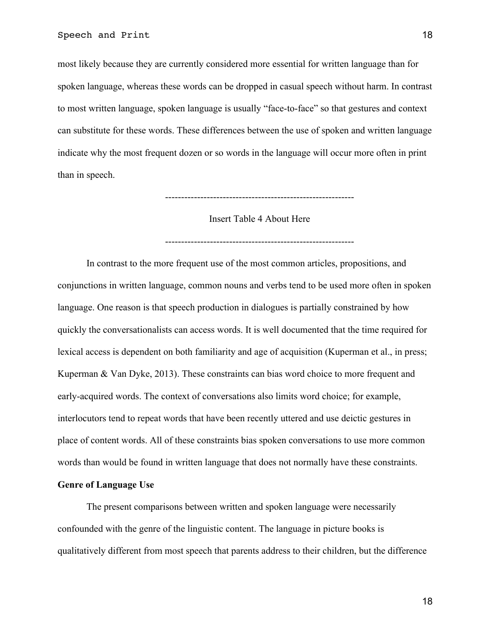most likely because they are currently considered more essential for written language than for spoken language, whereas these words can be dropped in casual speech without harm. In contrast to most written language, spoken language is usually "face-to-face" so that gestures and context can substitute for these words. These differences between the use of spoken and written language indicate why the most frequent dozen or so words in the language will occur more often in print than in speech.

Insert Table 4 About Here

-----------------------------------------------------------

-----------------------------------------------------------

In contrast to the more frequent use of the most common articles, propositions, and conjunctions in written language, common nouns and verbs tend to be used more often in spoken language. One reason is that speech production in dialogues is partially constrained by how quickly the conversationalists can access words. It is well documented that the time required for lexical access is dependent on both familiarity and age of acquisition (Kuperman et al., in press; Kuperman & Van Dyke, 2013). These constraints can bias word choice to more frequent and early-acquired words. The context of conversations also limits word choice; for example, interlocutors tend to repeat words that have been recently uttered and use deictic gestures in place of content words. All of these constraints bias spoken conversations to use more common words than would be found in written language that does not normally have these constraints.

# **Genre of Language Use**

The present comparisons between written and spoken language were necessarily confounded with the genre of the linguistic content. The language in picture books is qualitatively different from most speech that parents address to their children, but the difference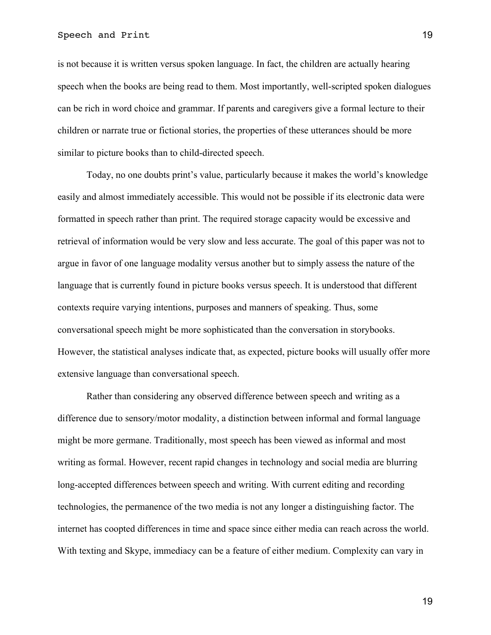## Speech and Print 19

is not because it is written versus spoken language. In fact, the children are actually hearing speech when the books are being read to them. Most importantly, well-scripted spoken dialogues can be rich in word choice and grammar. If parents and caregivers give a formal lecture to their children or narrate true or fictional stories, the properties of these utterances should be more similar to picture books than to child-directed speech.

Today, no one doubts print's value, particularly because it makes the world's knowledge easily and almost immediately accessible. This would not be possible if its electronic data were formatted in speech rather than print. The required storage capacity would be excessive and retrieval of information would be very slow and less accurate. The goal of this paper was not to argue in favor of one language modality versus another but to simply assess the nature of the language that is currently found in picture books versus speech. It is understood that different contexts require varying intentions, purposes and manners of speaking. Thus, some conversational speech might be more sophisticated than the conversation in storybooks. However, the statistical analyses indicate that, as expected, picture books will usually offer more extensive language than conversational speech.

Rather than considering any observed difference between speech and writing as a difference due to sensory/motor modality, a distinction between informal and formal language might be more germane. Traditionally, most speech has been viewed as informal and most writing as formal. However, recent rapid changes in technology and social media are blurring long-accepted differences between speech and writing. With current editing and recording technologies, the permanence of the two media is not any longer a distinguishing factor. The internet has coopted differences in time and space since either media can reach across the world. With texting and Skype, immediacy can be a feature of either medium. Complexity can vary in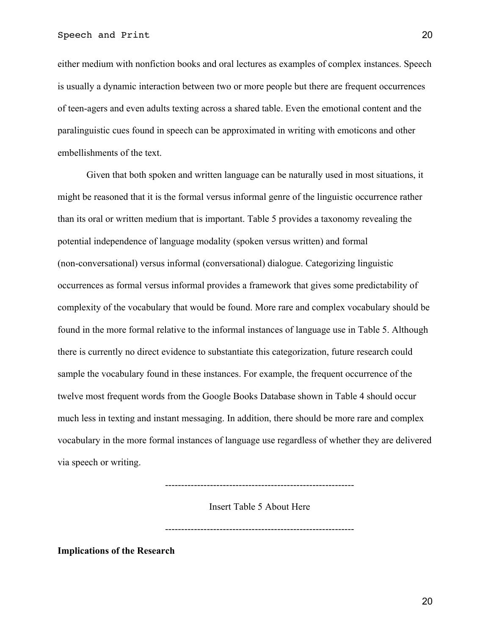either medium with nonfiction books and oral lectures as examples of complex instances. Speech is usually a dynamic interaction between two or more people but there are frequent occurrences of teen-agers and even adults texting across a shared table. Even the emotional content and the paralinguistic cues found in speech can be approximated in writing with emoticons and other embellishments of the text.

Given that both spoken and written language can be naturally used in most situations, it might be reasoned that it is the formal versus informal genre of the linguistic occurrence rather than its oral or written medium that is important. Table 5 provides a taxonomy revealing the potential independence of language modality (spoken versus written) and formal (non-conversational) versus informal (conversational) dialogue. Categorizing linguistic occurrences as formal versus informal provides a framework that gives some predictability of complexity of the vocabulary that would be found. More rare and complex vocabulary should be found in the more formal relative to the informal instances of language use in Table 5. Although there is currently no direct evidence to substantiate this categorization, future research could sample the vocabulary found in these instances. For example, the frequent occurrence of the twelve most frequent words from the Google Books Database shown in Table 4 should occur much less in texting and instant messaging. In addition, there should be more rare and complex vocabulary in the more formal instances of language use regardless of whether they are delivered via speech or writing.

-----------------------------------------------------------

Insert Table 5 About Here

-----------------------------------------------------------

**Implications of the Research**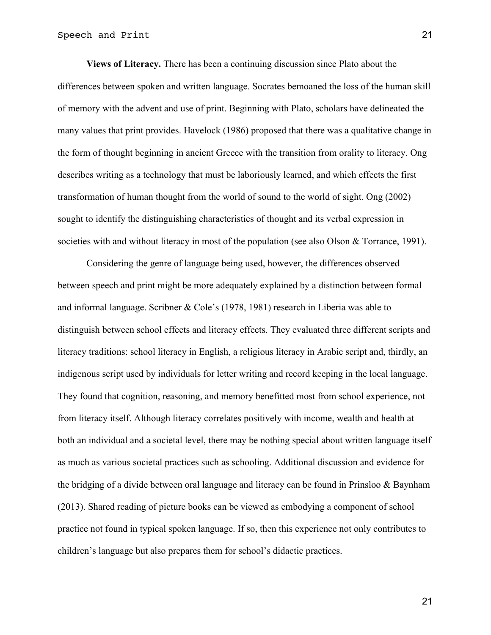**Views of Literacy.** There has been a continuing discussion since Plato about the differences between spoken and written language. Socrates bemoaned the loss of the human skill of memory with the advent and use of print. Beginning with Plato, scholars have delineated the many values that print provides. Havelock (1986) proposed that there was a qualitative change in the form of thought beginning in ancient Greece with the transition from orality to literacy. Ong describes writing as a technology that must be laboriously learned, and which effects the first transformation of human thought from the world of sound to the world of sight. Ong (2002) sought to identify the distinguishing characteristics of thought and its verbal expression in societies with and without literacy in most of the population (see also Olson & Torrance, 1991).

Considering the genre of language being used, however, the differences observed between speech and print might be more adequately explained by a distinction between formal and informal language. Scribner & Cole's (1978, 1981) research in Liberia was able to distinguish between school effects and literacy effects. They evaluated three different scripts and literacy traditions: school literacy in English, a religious literacy in Arabic script and, thirdly, an indigenous script used by individuals for letter writing and record keeping in the local language. They found that cognition, reasoning, and memory benefitted most from school experience, not from literacy itself. Although literacy correlates positively with income, wealth and health at both an individual and a societal level, there may be nothing special about written language itself as much as various societal practices such as schooling. Additional discussion and evidence for the bridging of a divide between oral language and literacy can be found in Prinsloo & Baynham (2013). Shared reading of picture books can be viewed as embodying a component of school practice not found in typical spoken language. If so, then this experience not only contributes to children's language but also prepares them for school's didactic practices.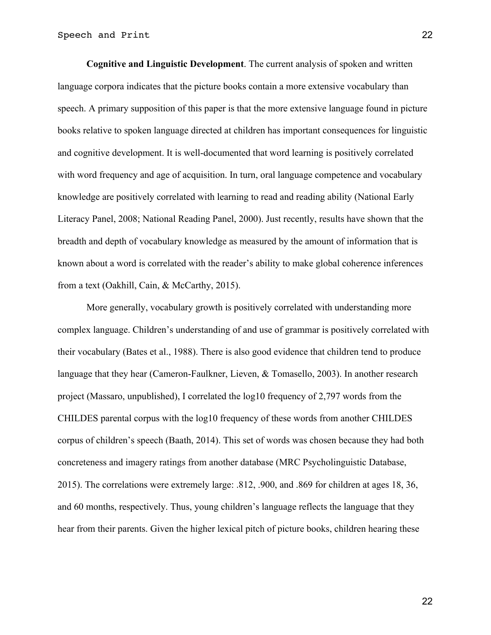**Cognitive and Linguistic Development**. The current analysis of spoken and written language corpora indicates that the picture books contain a more extensive vocabulary than speech. A primary supposition of this paper is that the more extensive language found in picture books relative to spoken language directed at children has important consequences for linguistic and cognitive development. It is well-documented that word learning is positively correlated with word frequency and age of acquisition. In turn, oral language competence and vocabulary knowledge are positively correlated with learning to read and reading ability (National Early Literacy Panel, 2008; National Reading Panel, 2000). Just recently, results have shown that the breadth and depth of vocabulary knowledge as measured by the amount of information that is known about a word is correlated with the reader's ability to make global coherence inferences from a text (Oakhill, Cain, & McCarthy, 2015).

More generally, vocabulary growth is positively correlated with understanding more complex language. Children's understanding of and use of grammar is positively correlated with their vocabulary (Bates et al., 1988). There is also good evidence that children tend to produce language that they hear (Cameron-Faulkner, Lieven, & Tomasello, 2003). In another research project (Massaro, unpublished), I correlated the log10 frequency of 2,797 words from the CHILDES parental corpus with the log10 frequency of these words from another CHILDES corpus of children's speech (Baath, 2014). This set of words was chosen because they had both concreteness and imagery ratings from another database (MRC Psycholinguistic Database, 2015). The correlations were extremely large: .812, .900, and .869 for children at ages 18, 36, and 60 months, respectively. Thus, young children's language reflects the language that they hear from their parents. Given the higher lexical pitch of picture books, children hearing these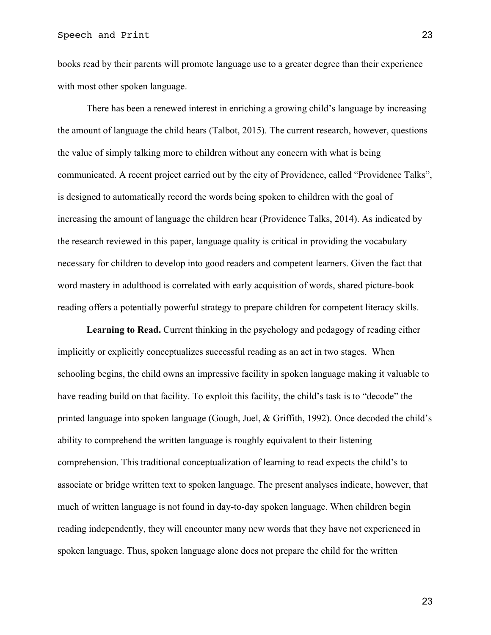books read by their parents will promote language use to a greater degree than their experience with most other spoken language.

There has been a renewed interest in enriching a growing child's language by increasing the amount of language the child hears (Talbot, 2015). The current research, however, questions the value of simply talking more to children without any concern with what is being communicated. A recent project carried out by the city of Providence, called "Providence Talks", is designed to automatically record the words being spoken to children with the goal of increasing the amount of language the children hear (Providence Talks, 2014). As indicated by the research reviewed in this paper, language quality is critical in providing the vocabulary necessary for children to develop into good readers and competent learners. Given the fact that word mastery in adulthood is correlated with early acquisition of words, shared picture-book reading offers a potentially powerful strategy to prepare children for competent literacy skills.

**Learning to Read.** Current thinking in the psychology and pedagogy of reading either implicitly or explicitly conceptualizes successful reading as an act in two stages. When schooling begins, the child owns an impressive facility in spoken language making it valuable to have reading build on that facility. To exploit this facility, the child's task is to "decode" the printed language into spoken language (Gough, Juel, & Griffith, 1992). Once decoded the child's ability to comprehend the written language is roughly equivalent to their listening comprehension. This traditional conceptualization of learning to read expects the child's to associate or bridge written text to spoken language. The present analyses indicate, however, that much of written language is not found in day-to-day spoken language. When children begin reading independently, they will encounter many new words that they have not experienced in spoken language. Thus, spoken language alone does not prepare the child for the written

23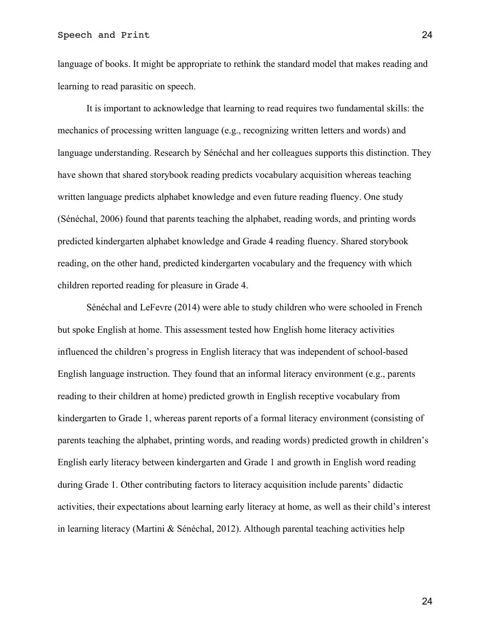language of books. It might be appropriate to rethink the standard model that makes reading and learning to read parasitic on speech.

It is important to acknowledge that learning to read requires two fundamental skills: the mechanics of processing written language (e.g., recognizing written letters and words) and language understanding. Research by Sénéchal and her colleagues supports this distinction. They have shown that shared storybook reading predicts vocabulary acquisition whereas teaching written language predicts alphabet knowledge and even future reading fluency. One study (Sénéchal, 2006) found that parents teaching the alphabet, reading words, and printing words predicted kindergarten alphabet knowledge and Grade 4 reading fluency. Shared storybook reading, on the other hand, predicted kindergarten vocabulary and the frequency with which children reported reading for pleasure in Grade 4.

Sénéchal and LeFevre (2014) were able to study children who were schooled in French but spoke English at home. This assessment tested how English home literacy activities influenced the children's progress in English literacy that was independent of school-based English language instruction. They found that an informal literacy environment (e.g., parents reading to their children at home) predicted growth in English receptive vocabulary from kindergarten to Grade 1, whereas parent reports of a formal literacy environment (consisting of parents teaching the alphabet, printing words, and reading words) predicted growth in children's English early literacy between kindergarten and Grade 1 and growth in English word reading during Grade 1. Other contributing factors to literacy acquisition include parents' didactic activities, their expectations about learning early literacy at home, as well as their child's interest in learning literacy (Martini & Sénéchal, 2012). Although parental teaching activities help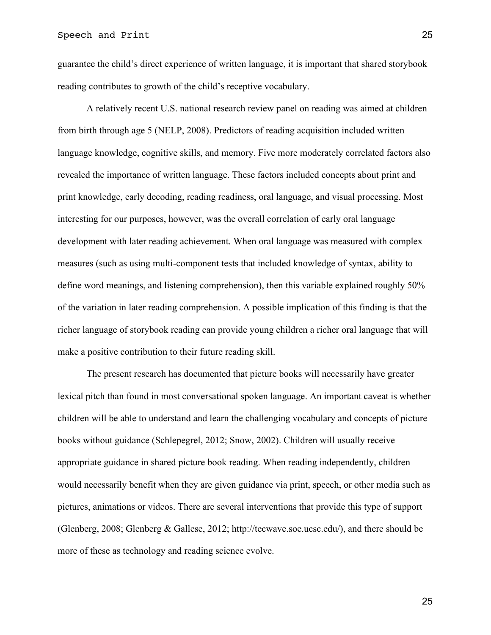guarantee the child's direct experience of written language, it is important that shared storybook reading contributes to growth of the child's receptive vocabulary.

A relatively recent U.S. national research review panel on reading was aimed at children from birth through age 5 (NELP, 2008). Predictors of reading acquisition included written language knowledge, cognitive skills, and memory. Five more moderately correlated factors also revealed the importance of written language. These factors included concepts about print and print knowledge, early decoding, reading readiness, oral language, and visual processing. Most interesting for our purposes, however, was the overall correlation of early oral language development with later reading achievement. When oral language was measured with complex measures (such as using multi-component tests that included knowledge of syntax, ability to define word meanings, and listening comprehension), then this variable explained roughly 50% of the variation in later reading comprehension. A possible implication of this finding is that the richer language of storybook reading can provide young children a richer oral language that will make a positive contribution to their future reading skill.

The present research has documented that picture books will necessarily have greater lexical pitch than found in most conversational spoken language. An important caveat is whether children will be able to understand and learn the challenging vocabulary and concepts of picture books without guidance (Schlepegrel, 2012; Snow, 2002). Children will usually receive appropriate guidance in shared picture book reading. When reading independently, children would necessarily benefit when they are given guidance via print, speech, or other media such as pictures, animations or videos. There are several interventions that provide this type of support (Glenberg, 2008; Glenberg & Gallese, 2012; http://tecwave.soe.ucsc.edu/), and there should be more of these as technology and reading science evolve.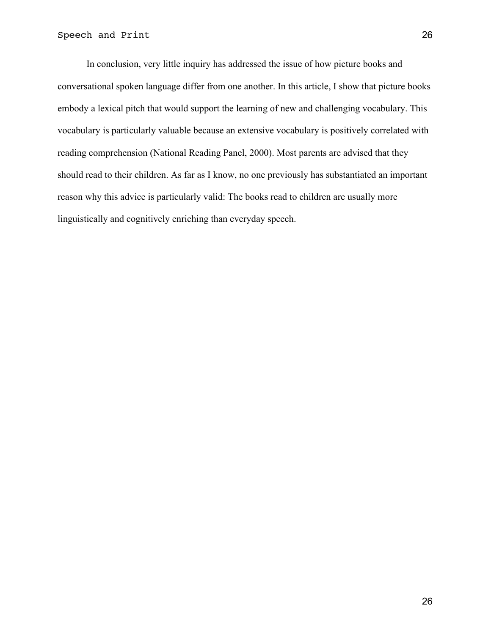In conclusion, very little inquiry has addressed the issue of how picture books and conversational spoken language differ from one another. In this article, I show that picture books embody a lexical pitch that would support the learning of new and challenging vocabulary. This vocabulary is particularly valuable because an extensive vocabulary is positively correlated with reading comprehension (National Reading Panel, 2000). Most parents are advised that they should read to their children. As far as I know, no one previously has substantiated an important reason why this advice is particularly valid: The books read to children are usually more linguistically and cognitively enriching than everyday speech.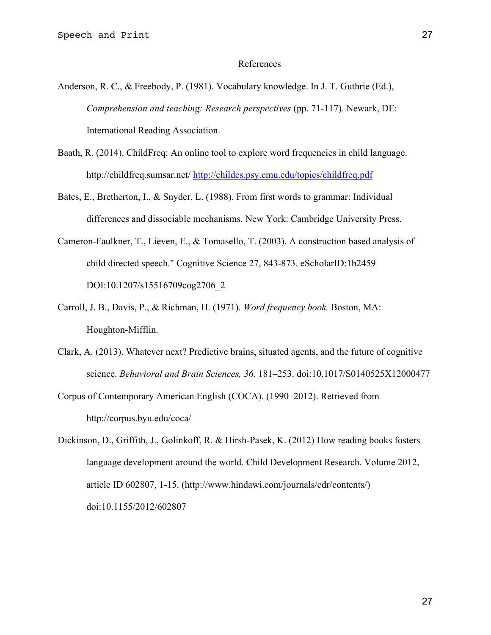#### References

- Anderson, R. C., & Freebody, P. (1981). Vocabulary knowledge. In J. T. Guthrie (Ed.), *Comprehension and teaching: Research perspectives* (pp. 71-117). Newark, DE: International Reading Association.
- Baath, R. (2014). ChildFreq: An online tool to explore word frequencies in child language. http://childfreq.sumsar.net/ http://childes.psy.cmu.edu/topics/childfreq.pdf
- Bates, E., Bretherton, I., & Snyder, L. (1988). From first words to grammar: Individual differences and dissociable mechanisms. New York: Cambridge University Press.
- Cameron-Faulkner, T., Lieven, E., & Tomasello, T. (2003). A construction based analysis of child directed speech." Cognitive Science 27, 843-873. eScholarID:1b2459 | DOI:10.1207/s15516709cog2706\_2
- Carroll, J. B., Davis, P., & Richman, H. (1971). *Word frequency book.* Boston, MA: Houghton-Mifflin.
- Clark, A. (2013). Whatever next? Predictive brains, situated agents, and the future of cognitive science. *Behavioral and Brain Sciences, 36,* 181–253. doi:10.1017/S0140525X12000477
- Corpus of Contemporary American English (COCA). (1990–2012). Retrieved from http://corpus.byu.edu/coca/

Dickinson, D., Griffith, J., Golinkoff, R. & Hirsh-Pasek, K. (2012) How reading books fosters language development around the world. Child Development Research. Volume 2012, article ID 602807, 1-15. (http://www.hindawi.com/journals/cdr/contents/) doi:10.1155/2012/602807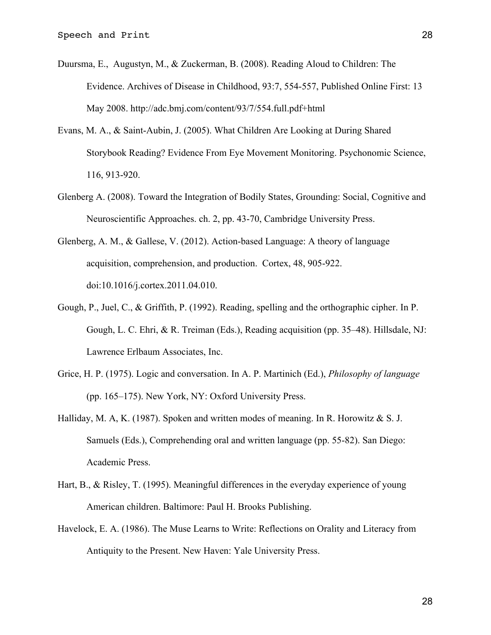- Duursma, E., Augustyn, M., & Zuckerman, B. (2008). Reading Aloud to Children: The Evidence. Archives of Disease in Childhood, 93:7, 554-557, Published Online First: 13 May 2008. http://adc.bmj.com/content/93/7/554.full.pdf+html
- Evans, M. A., & Saint-Aubin, J. (2005). What Children Are Looking at During Shared Storybook Reading? Evidence From Eye Movement Monitoring. Psychonomic Science, 116, 913-920.
- Glenberg A. (2008). Toward the Integration of Bodily States, Grounding: Social, Cognitive and Neuroscientific Approaches. ch. 2, pp. 43-70, Cambridge University Press.
- Glenberg, A. M., & Gallese, V. (2012). Action-based Language: A theory of language acquisition, comprehension, and production. Cortex, 48, 905-922. doi:10.1016/j.cortex.2011.04.010.
- Gough, P., Juel, C., & Griffith, P. (1992). Reading, spelling and the orthographic cipher. In P. Gough, L. C. Ehri, & R. Treiman (Eds.), Reading acquisition (pp. 35–48). Hillsdale, NJ: Lawrence Erlbaum Associates, Inc.
- Grice, H. P. (1975). Logic and conversation. In A. P. Martinich (Ed.), *Philosophy of language* (pp. 165–175). New York, NY: Oxford University Press.
- Halliday, M. A, K. (1987). Spoken and written modes of meaning. In R. Horowitz  $\&$  S. J. Samuels (Eds.), Comprehending oral and written language (pp. 55-82). San Diego: Academic Press.
- Hart, B., & Risley, T. (1995). Meaningful differences in the everyday experience of young American children. Baltimore: Paul H. Brooks Publishing.
- Havelock, E. A. (1986). The Muse Learns to Write: Reflections on Orality and Literacy from Antiquity to the Present. New Haven: Yale University Press.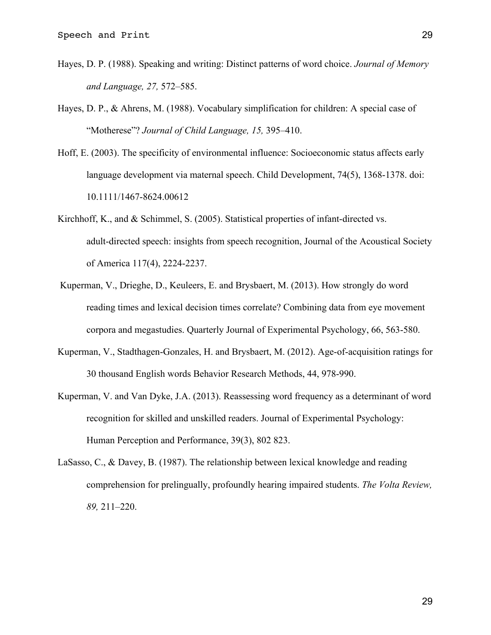- Hayes, D. P. (1988). Speaking and writing: Distinct patterns of word choice. *Journal of Memory and Language, 27,* 572–585.
- Hayes, D. P., & Ahrens, M. (1988). Vocabulary simplification for children: A special case of "Motherese"? *Journal of Child Language, 15,* 395–410.
- Hoff, E. (2003). The specificity of environmental influence: Socioeconomic status affects early language development via maternal speech. Child Development, 74(5), 1368-1378. doi: 10.1111/1467-8624.00612
- Kirchhoff, K., and & Schimmel, S. (2005). Statistical properties of infant-directed vs. adult-directed speech: insights from speech recognition, Journal of the Acoustical Society of America 117(4), 2224-2237.
- Kuperman, V., Drieghe, D., Keuleers, E. and Brysbaert, M. (2013). How strongly do word reading times and lexical decision times correlate? Combining data from eye movement corpora and megastudies. Quarterly Journal of Experimental Psychology, 66, 563-580.
- Kuperman, V., Stadthagen-Gonzales, H. and Brysbaert, M. (2012). Age-of-acquisition ratings for 30 thousand English words Behavior Research Methods, 44, 978-990.
- Kuperman, V. and Van Dyke, J.A. (2013). Reassessing word frequency as a determinant of word recognition for skilled and unskilled readers. Journal of Experimental Psychology: Human Perception and Performance, 39(3), 802 823.
- LaSasso, C., & Davey, B. (1987). The relationship between lexical knowledge and reading comprehension for prelingually, profoundly hearing impaired students. *The Volta Review, 89,* 211–220.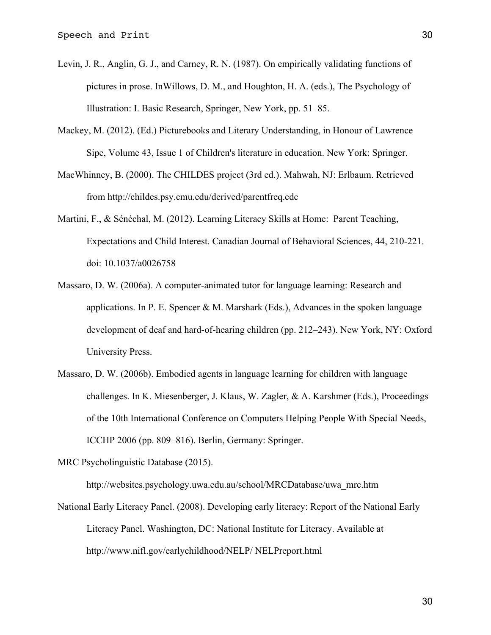- Levin, J. R., Anglin, G. J., and Carney, R. N. (1987). On empirically validating functions of pictures in prose. InWillows, D. M., and Houghton, H. A. (eds.), The Psychology of Illustration: I. Basic Research, Springer, New York, pp. 51–85.
- Mackey, M. (2012). (Ed.) Picturebooks and Literary Understanding, in Honour of Lawrence Sipe, Volume 43, Issue 1 of Children's literature in education. New York: Springer.
- MacWhinney, B. (2000). The CHILDES project (3rd ed.). Mahwah, NJ: Erlbaum. Retrieved from http://childes.psy.cmu.edu/derived/parentfreq.cdc
- Martini, F., & Sénéchal, M. (2012). Learning Literacy Skills at Home: Parent Teaching, Expectations and Child Interest. Canadian Journal of Behavioral Sciences, 44, 210-221. doi: 10.1037/a0026758
- Massaro, D. W. (2006a). A computer-animated tutor for language learning: Research and applications. In P. E. Spencer  $\& M$ . Marshark (Eds.), Advances in the spoken language development of deaf and hard-of-hearing children (pp. 212–243). New York, NY: Oxford University Press.
- Massaro, D. W. (2006b). Embodied agents in language learning for children with language challenges. In K. Miesenberger, J. Klaus, W. Zagler, & A. Karshmer (Eds.), Proceedings of the 10th International Conference on Computers Helping People With Special Needs, ICCHP 2006 (pp. 809–816). Berlin, Germany: Springer.

MRC Psycholinguistic Database (2015).

http://websites.psychology.uwa.edu.au/school/MRCDatabase/uwa\_mrc.htm

National Early Literacy Panel. (2008). Developing early literacy: Report of the National Early Literacy Panel. Washington, DC: National Institute for Literacy. Available at http://www.nifl.gov/earlychildhood/NELP/ NELPreport.html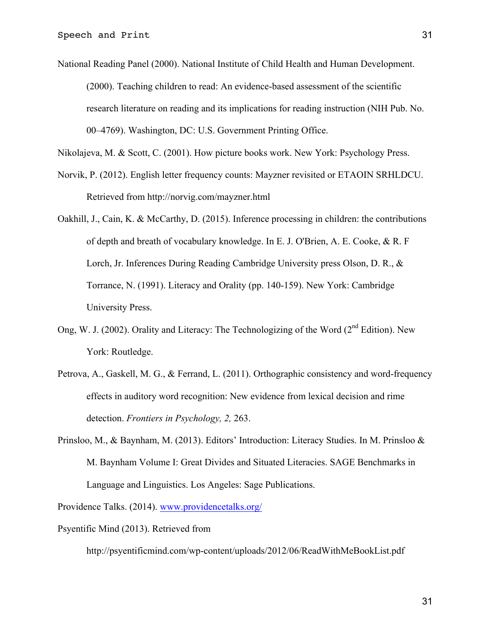National Reading Panel (2000). National Institute of Child Health and Human Development. (2000). Teaching children to read: An evidence-based assessment of the scientific research literature on reading and its implications for reading instruction (NIH Pub. No. 00–4769). Washington, DC: U.S. Government Printing Office.

Nikolajeva, M. & Scott, C. (2001). How picture books work. New York: Psychology Press.

- Norvik, P. (2012). English letter frequency counts: Mayzner revisited or ETAOIN SRHLDCU. Retrieved from http://norvig.com/mayzner.html
- Oakhill, J., Cain, K. & McCarthy, D. (2015). Inference processing in children: the contributions of depth and breath of vocabulary knowledge. In E. J. O'Brien, A. E. Cooke, & R. F Lorch, Jr. Inferences During Reading Cambridge University press Olson, D. R., & Torrance, N. (1991). Literacy and Orality (pp. 140-159). New York: Cambridge University Press.
- Ong, W. J. (2002). Orality and Literacy: The Technologizing of the Word ( $2<sup>nd</sup>$  Edition). New York: Routledge.
- Petrova, A., Gaskell, M. G., & Ferrand, L. (2011). Orthographic consistency and word-frequency effects in auditory word recognition: New evidence from lexical decision and rime detection. *Frontiers in Psychology, 2,* 263.
- Prinsloo, M., & Baynham, M. (2013). Editors' Introduction: Literacy Studies. In M. Prinsloo & M. Baynham Volume I: Great Divides and Situated Literacies. SAGE Benchmarks in Language and Linguistics. Los Angeles: Sage Publications.

Providence Talks. (2014). www.providencetalks.org/

Psyentific Mind (2013). Retrieved from

http://psyentificmind.com/wp-content/uploads/2012/06/ReadWithMeBookList.pdf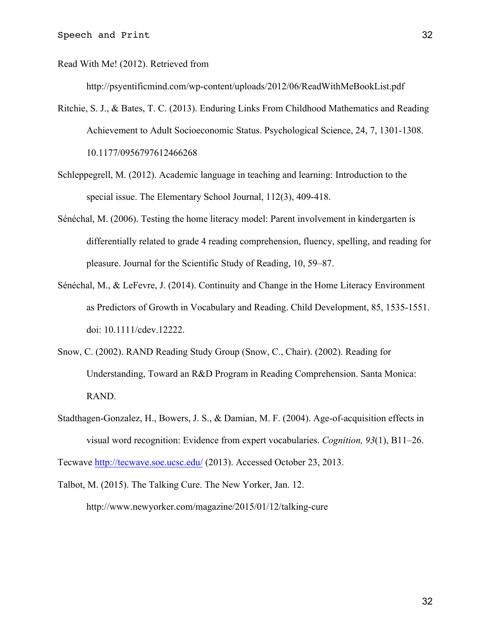Read With Me! (2012). Retrieved from

http://psyentificmind.com/wp-content/uploads/2012/06/ReadWithMeBookList.pdf

- Ritchie, S. J., & Bates, T. C. (2013). Enduring Links From Childhood Mathematics and Reading Achievement to Adult Socioeconomic Status. Psychological Science, 24, 7, 1301-1308. 10.1177/0956797612466268
- Schleppegrell, M. (2012). Academic language in teaching and learning: Introduction to the special issue. The Elementary School Journal, 112(3), 409-418.
- Sénéchal, M. (2006). Testing the home literacy model: Parent involvement in kindergarten is differentially related to grade 4 reading comprehension, fluency, spelling, and reading for pleasure. Journal for the Scientific Study of Reading, 10, 59–87.
- Sénéchal, M., & LeFevre, J. (2014). Continuity and Change in the Home Literacy Environment as Predictors of Growth in Vocabulary and Reading. Child Development, 85, 1535-1551. doi: 10.1111/cdev.12222.
- Snow, C. (2002). RAND Reading Study Group (Snow, C., Chair). (2002). Reading for Understanding, Toward an R&D Program in Reading Comprehension. Santa Monica: RAND.
- Stadthagen-Gonzalez, H., Bowers, J. S., & Damian, M. F. (2004). Age-of-acquisition effects in visual word recognition: Evidence from expert vocabularies. *Cognition, 93*(1), B11–26. Tecwave http://tecwave.soe.ucsc.edu/ (2013). Accessed October 23, 2013.

Talbot, M. (2015). The Talking Cure. The New Yorker, Jan. 12. http://www.newyorker.com/magazine/2015/01/12/talking-cure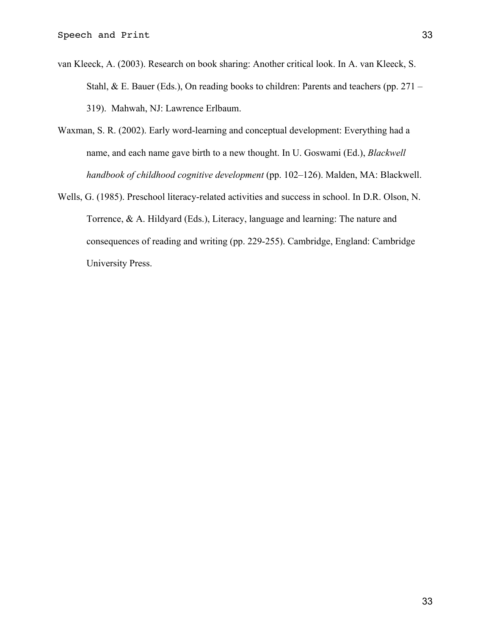- van Kleeck, A. (2003). Research on book sharing: Another critical look. In A. van Kleeck, S. Stahl, & E. Bauer (Eds.), On reading books to children: Parents and teachers (pp. 271 – 319). Mahwah, NJ: Lawrence Erlbaum.
- Waxman, S. R. (2002). Early word-learning and conceptual development: Everything had a name, and each name gave birth to a new thought. In U. Goswami (Ed.), *Blackwell handbook of childhood cognitive development* (pp. 102–126). Malden, MA: Blackwell.
- Wells, G. (1985). Preschool literacy-related activities and success in school. In D.R. Olson, N. Torrence, & A. Hildyard (Eds.), Literacy, language and learning: The nature and consequences of reading and writing (pp. 229-255). Cambridge, England: Cambridge University Press.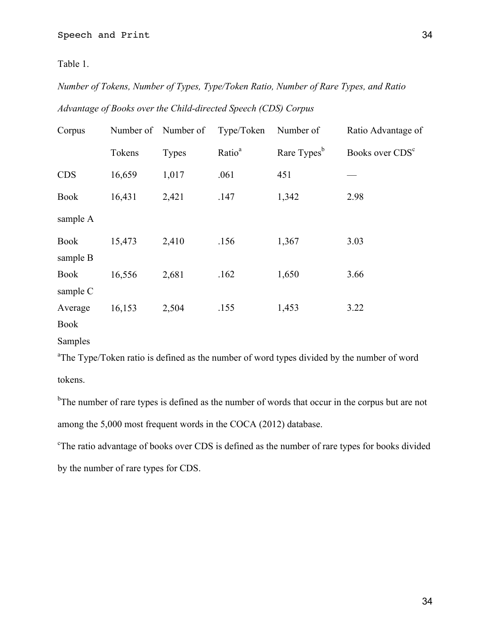Table 1.

*Number of Tokens, Number of Types, Type/Token Ratio, Number of Rare Types, and Ratio Advantage of Books over the Child-directed Speech (CDS) Corpus*

| Corpus                  |        | Number of Number of | Type/Token         | Number of               | Ratio Advantage of          |
|-------------------------|--------|---------------------|--------------------|-------------------------|-----------------------------|
|                         | Tokens | <b>Types</b>        | Ratio <sup>a</sup> | Rare Types <sup>b</sup> | Books over CDS <sup>c</sup> |
| <b>CDS</b>              | 16,659 | 1,017               | .061               | 451                     |                             |
| <b>Book</b>             | 16,431 | 2,421               | .147               | 1,342                   | 2.98                        |
| sample A                |        |                     |                    |                         |                             |
| <b>Book</b><br>sample B | 15,473 | 2,410               | .156               | 1,367                   | 3.03                        |
| <b>Book</b><br>sample C | 16,556 | 2,681               | .162               | 1,650                   | 3.66                        |
| Average<br><b>Book</b>  | 16,153 | 2,504               | .155               | 1,453                   | 3.22                        |

Samples

<sup>a</sup>The Type/Token ratio is defined as the number of word types divided by the number of word tokens.

<sup>b</sup>The number of rare types is defined as the number of words that occur in the corpus but are not among the 5,000 most frequent words in the COCA (2012) database.

<sup>c</sup>The ratio advantage of books over CDS is defined as the number of rare types for books divided by the number of rare types for CDS.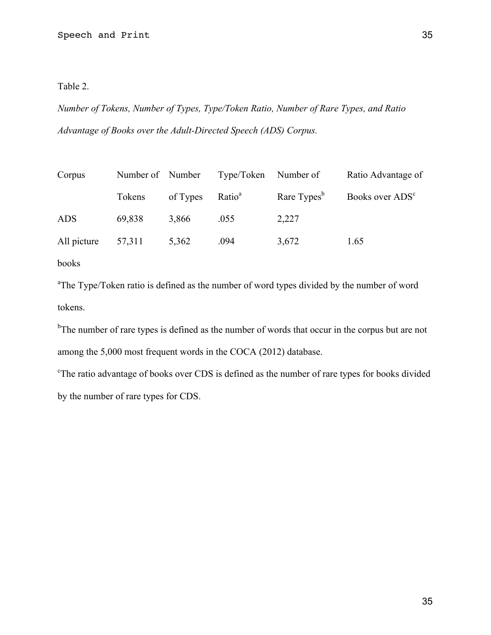Table 2.

*Number of Tokens, Number of Types, Type/Token Ratio, Number of Rare Types, and Ratio Advantage of Books over the Adult-Directed Speech (ADS) Corpus.*

| Corpus      | Number of Number |          | Type/Token         | Number of               | Ratio Advantage of          |
|-------------|------------------|----------|--------------------|-------------------------|-----------------------------|
|             | Tokens           | of Types | Ratio <sup>a</sup> | Rare Types <sup>b</sup> | Books over ADS <sup>c</sup> |
| <b>ADS</b>  | 69,838           | 3,866    | .055               | 2,227                   |                             |
| All picture | 57,311           | 5,362    | .094               | 3,672                   | 1.65                        |
| books       |                  |          |                    |                         |                             |

<sup>a</sup>The Type/Token ratio is defined as the number of word types divided by the number of word tokens.

<sup>b</sup>The number of rare types is defined as the number of words that occur in the corpus but are not among the 5,000 most frequent words in the COCA (2012) database.

<sup>c</sup>The ratio advantage of books over CDS is defined as the number of rare types for books divided by the number of rare types for CDS.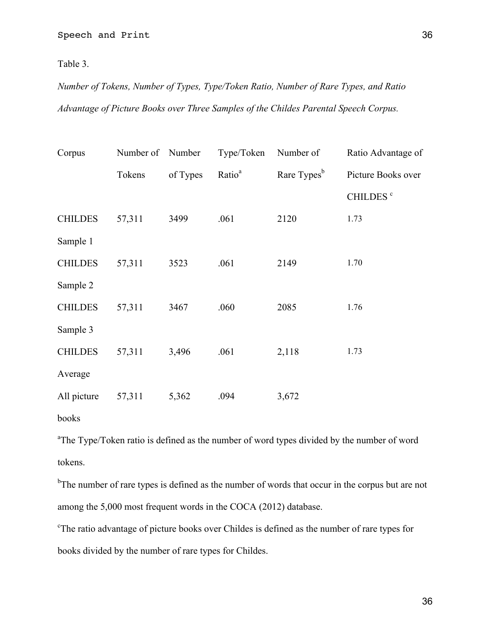Table 3.

*Number of Tokens, Number of Types, Type/Token Ratio, Number of Rare Types, and Ratio Advantage of Picture Books over Three Samples of the Childes Parental Speech Corpus.*

| Corpus         | Number of Number |          | Type/Token         | Number of               | Ratio Advantage of   |
|----------------|------------------|----------|--------------------|-------------------------|----------------------|
|                | Tokens           | of Types | Ratio <sup>a</sup> | Rare Types <sup>b</sup> | Picture Books over   |
|                |                  |          |                    |                         | CHILDES <sup>c</sup> |
| <b>CHILDES</b> | 57,311           | 3499     | .061               | 2120                    | 1.73                 |
| Sample 1       |                  |          |                    |                         |                      |
| <b>CHILDES</b> | 57,311           | 3523     | .061               | 2149                    | 1.70                 |
| Sample 2       |                  |          |                    |                         |                      |
| <b>CHILDES</b> | 57,311           | 3467     | .060               | 2085                    | 1.76                 |
| Sample 3       |                  |          |                    |                         |                      |
| <b>CHILDES</b> | 57,311           | 3,496    | .061               | 2,118                   | 1.73                 |
| Average        |                  |          |                    |                         |                      |
| All picture    | 57,311           | 5,362    | .094               | 3,672                   |                      |
|                |                  |          |                    |                         |                      |

books

<sup>a</sup>The Type/Token ratio is defined as the number of word types divided by the number of word tokens.

<sup>b</sup>The number of rare types is defined as the number of words that occur in the corpus but are not among the 5,000 most frequent words in the COCA (2012) database.

<sup>c</sup>The ratio advantage of picture books over Childes is defined as the number of rare types for books divided by the number of rare types for Childes.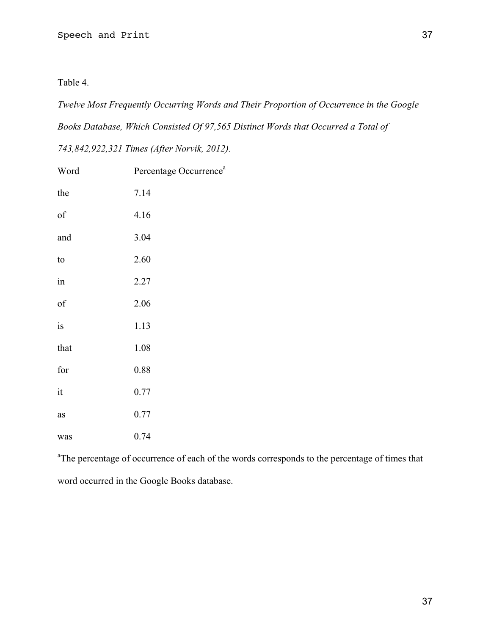Table 4.

*Twelve Most Frequently Occurring Words and Their Proportion of Occurrence in the Google Books Database, Which Consisted Of 97,565 Distinct Words that Occurred a Total of* 

*743,842,922,321 Times (After Norvik, 2012).*

| Word | Percentage Occurrence <sup>a</sup> |
|------|------------------------------------|
| the  | 7.14                               |
| of   | 4.16                               |
| and  | 3.04                               |
| to   | 2.60                               |
| in   | 2.27                               |
| of   | 2.06                               |
| is   | 1.13                               |
| that | 1.08                               |
| for  | 0.88                               |
| it   | 0.77                               |
| as   | 0.77                               |
| was  | 0.74                               |

<sup>a</sup>The percentage of occurrence of each of the words corresponds to the percentage of times that word occurred in the Google Books database.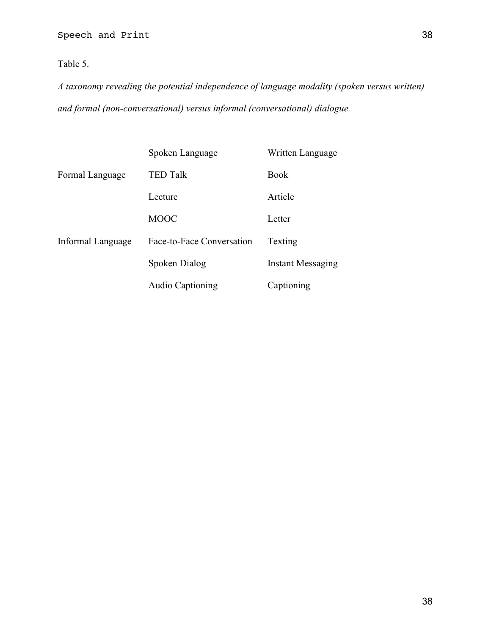Table 5.

*A taxonomy revealing the potential independence of language modality (spoken versus written) and formal (non-conversational) versus informal (conversational) dialogue.*

|                   | Spoken Language           | Written Language         |
|-------------------|---------------------------|--------------------------|
| Formal Language   | <b>TED Talk</b>           | <b>Book</b>              |
|                   | Lecture                   | Article                  |
|                   | <b>MOOC</b>               | Letter                   |
| Informal Language | Face-to-Face Conversation | Texting                  |
|                   | Spoken Dialog             | <b>Instant Messaging</b> |
|                   | <b>Audio Captioning</b>   | Captioning               |